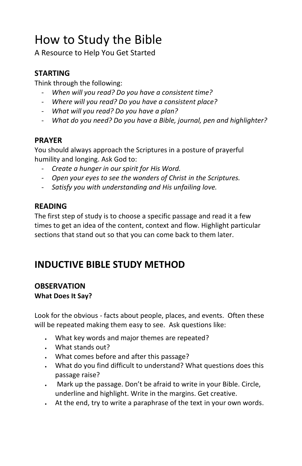# How to Study the Bible

A Resource to Help You Get Started

## **STARTING**

Think through the following:

- *When will you read? Do you have a consistent time?*
- *Where will you read? Do you have a consistent place?*
- *What will you read? Do you have a plan?*
- *What do you need? Do you have a Bible, journal, pen and highlighter?*

### **PRAYER**

You should always approach the Scriptures in a posture of prayerful humility and longing. Ask God to:

- *Create a hunger in our spirit for His Word.*
- *Open your eyes to see the wonders of Christ in the Scriptures.*
- *Satisfy you with understanding and His unfailing love.*

# **READING**

The first step of study is to choose a specific passage and read it a few times to get an idea of the content, context and flow. Highlight particular sections that stand out so that you can come back to them later.

# **INDUCTIVE BIBLE STUDY METHOD**

#### **OBSERVATION What Does It Say?**

Look for the obvious - facts about people, places, and events. Often these will be repeated making them easy to see. Ask questions like:

- What key words and major themes are repeated?
- What stands out?
- What comes before and after this passage?
- What do you find difficult to understand? What questions does this passage raise?
- Mark up the passage. Don't be afraid to write in your Bible. Circle, underline and highlight. Write in the margins. Get creative.
- At the end, try to write a paraphrase of the text in your own words.